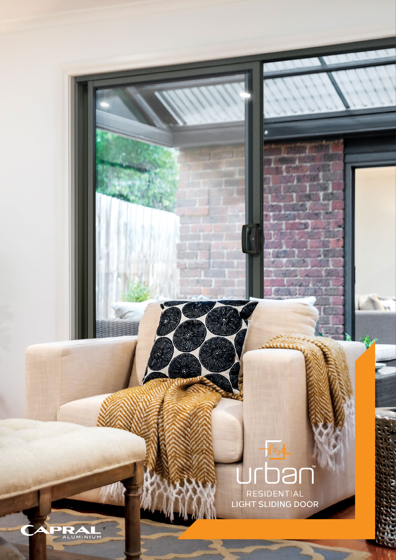**LIGHT SLIDING DOOR** 

ALUMINIUM

**TA**